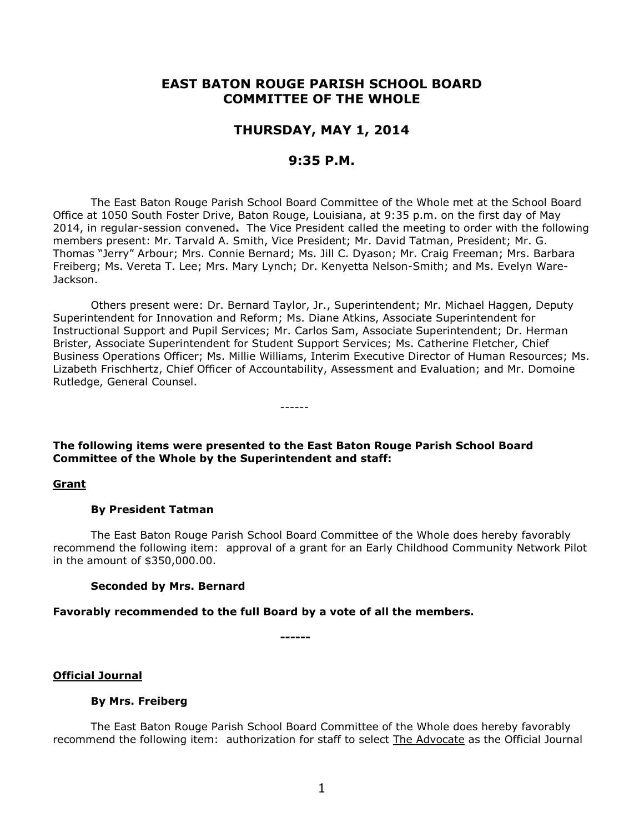# **EAST BATON ROUGE PARISH SCHOOL BOARD COMMITTEE OF THE WHOLE**

# **THURSDAY, MAY 1, 2014**

# **9:35 P.M.**

The East Baton Rouge Parish School Board Committee of the Whole met at the School Board Office at 1050 South Foster Drive, Baton Rouge, Louisiana, at 9:35 p.m. on the first day of May 2014, in regular-session convened**.** The Vice President called the meeting to order with the following members present: Mr. Tarvald A. Smith, Vice President; Mr. David Tatman, President; Mr. G. Thomas "Jerry" Arbour; Mrs. Connie Bernard; Ms. Jill C. Dyason; Mr. Craig Freeman; Mrs. Barbara Freiberg; Ms. Vereta T. Lee; Mrs. Mary Lynch; Dr. Kenyetta Nelson-Smith; and Ms. Evelyn Ware-Jackson.

Others present were: Dr. Bernard Taylor, Jr., Superintendent; Mr. Michael Haggen, Deputy Superintendent for Innovation and Reform; Ms. Diane Atkins, Associate Superintendent for Instructional Support and Pupil Services; Mr. Carlos Sam, Associate Superintendent; Dr. Herman Brister, Associate Superintendent for Student Support Services; Ms. Catherine Fletcher, Chief Business Operations Officer; Ms. Millie Williams, Interim Executive Director of Human Resources; Ms. Lizabeth Frischhertz, Chief Officer of Accountability, Assessment and Evaluation; and Mr. Domoine Rutledge, General Counsel.

**The following items were presented to the East Baton Rouge Parish School Board Committee of the Whole by the Superintendent and staff:**

------

#### **Grant**

#### **By President Tatman**

The East Baton Rouge Parish School Board Committee of the Whole does hereby favorably recommend the following item: approval of a grant for an Early Childhood Community Network Pilot in the amount of \$350,000.00.

#### **Seconded by Mrs. Bernard**

**Favorably recommended to the full Board by a vote of all the members.**

**------**

#### **Official Journal**

#### **By Mrs. Freiberg**

The East Baton Rouge Parish School Board Committee of the Whole does hereby favorably recommend the following item: authorization for staff to select The Advocate as the Official Journal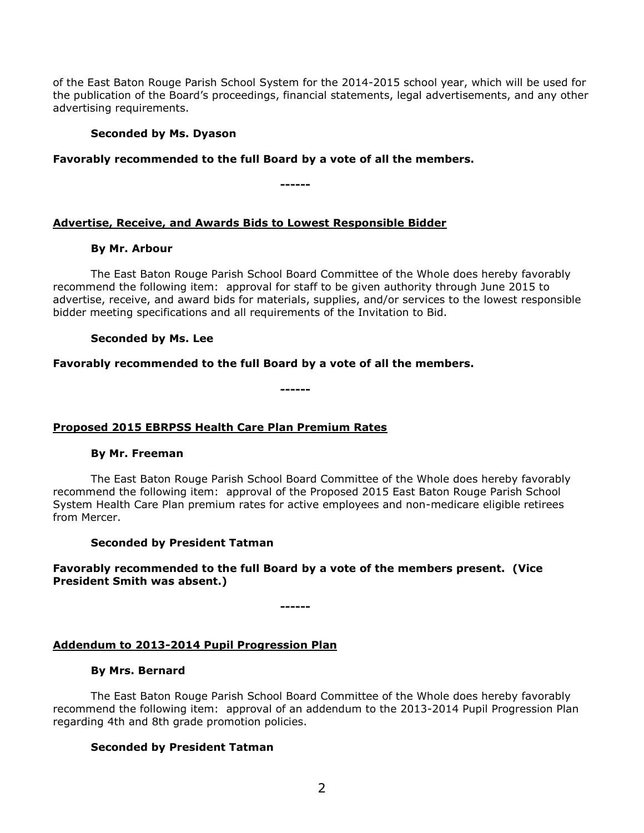of the East Baton Rouge Parish School System for the 2014-2015 school year, which will be used for the publication of the Board's proceedings, financial statements, legal advertisements, and any other advertising requirements.

### **Seconded by Ms. Dyason**

## **Favorably recommended to the full Board by a vote of all the members.**

**------**

## **Advertise, Receive, and Awards Bids to Lowest Responsible Bidder**

#### **By Mr. Arbour**

The East Baton Rouge Parish School Board Committee of the Whole does hereby favorably recommend the following item: approval for staff to be given authority through June 2015 to advertise, receive, and award bids for materials, supplies, and/or services to the lowest responsible bidder meeting specifications and all requirements of the Invitation to Bid.

### **Seconded by Ms. Lee**

### **Favorably recommended to the full Board by a vote of all the members.**

**------**

## **Proposed 2015 EBRPSS Health Care Plan Premium Rates**

#### **By Mr. Freeman**

The East Baton Rouge Parish School Board Committee of the Whole does hereby favorably recommend the following item: approval of the Proposed 2015 East Baton Rouge Parish School System Health Care Plan premium rates for active employees and non-medicare eligible retirees from Mercer.

#### **Seconded by President Tatman**

# **Favorably recommended to the full Board by a vote of the members present. (Vice President Smith was absent.)**

**------**

## **Addendum to 2013-2014 Pupil Progression Plan**

### **By Mrs. Bernard**

The East Baton Rouge Parish School Board Committee of the Whole does hereby favorably recommend the following item: approval of an addendum to the 2013-2014 Pupil Progression Plan regarding 4th and 8th grade promotion policies.

## **Seconded by President Tatman**